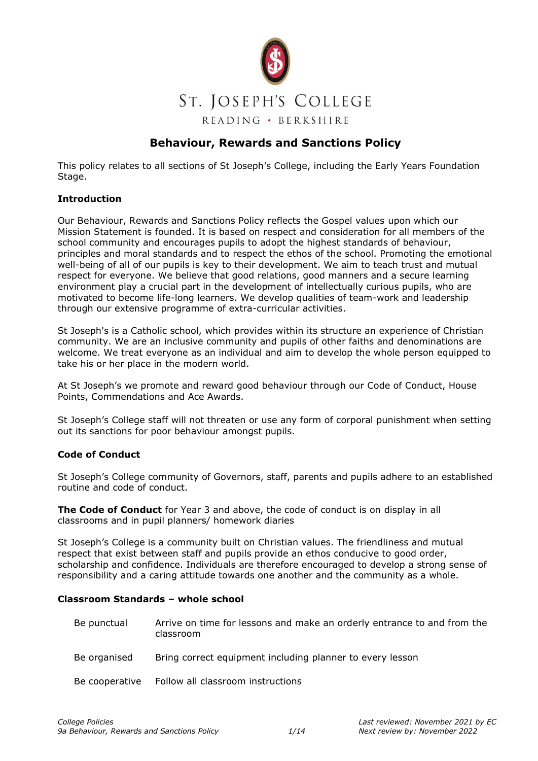

# **Behaviour, Rewards and Sanctions Policy**

This policy relates to all sections of St Joseph's College, including the Early Years Foundation Stage.

#### **Introduction**

Our Behaviour, Rewards and Sanctions Policy reflects the Gospel values upon which our Mission Statement is founded. It is based on respect and consideration for all members of the school community and encourages pupils to adopt the highest standards of behaviour, principles and moral standards and to respect the ethos of the school. Promoting the emotional well-being of all of our pupils is key to their development. We aim to teach trust and mutual respect for everyone. We believe that good relations, good manners and a secure learning environment play a crucial part in the development of intellectually curious pupils, who are motivated to become life-long learners. We develop qualities of team-work and leadership through our extensive programme of extra-curricular activities.

St Joseph's is a Catholic school, which provides within its structure an experience of Christian community. We are an inclusive community and pupils of other faiths and denominations are welcome. We treat everyone as an individual and aim to develop the whole person equipped to take his or her place in the modern world.

At St Joseph's we promote and reward good behaviour through our Code of Conduct, House Points, Commendations and Ace Awards.

St Joseph's College staff will not threaten or use any form of corporal punishment when setting out its sanctions for poor behaviour amongst pupils.

#### **Code of Conduct**

St Joseph's College community of Governors, staff, parents and pupils adhere to an established routine and code of conduct.

**The Code of Conduct** for Year 3 and above, the code of conduct is on display in all classrooms and in pupil planners/ homework diaries

St Joseph's College is a community built on Christian values. The friendliness and mutual respect that exist between staff and pupils provide an ethos conducive to good order, scholarship and confidence. Individuals are therefore encouraged to develop a strong sense of responsibility and a caring attitude towards one another and the community as a whole.

#### **Classroom Standards – whole school**

| Be punctual  | Arrive on time for lessons and make an orderly entrance to and from the<br>classroom |
|--------------|--------------------------------------------------------------------------------------|
| Be organised | Bring correct equipment including planner to every lesson                            |

Be cooperative Follow all classroom instructions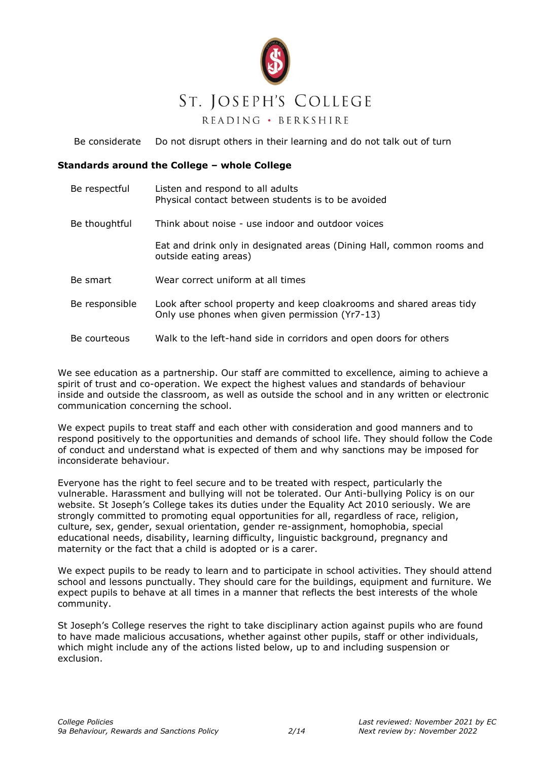

# ST. JOSEPH'S COLLEGE

READING · BERKSHIRE

Be considerate Do not disrupt others in their learning and do not talk out of turn

#### **Standards around the College – whole College**

| Be respectful  | Listen and respond to all adults<br>Physical contact between students is to be avoided                                 |  |
|----------------|------------------------------------------------------------------------------------------------------------------------|--|
| Be thoughtful  | Think about noise - use indoor and outdoor voices                                                                      |  |
|                | Eat and drink only in designated areas (Dining Hall, common rooms and<br>outside eating areas)                         |  |
| Be smart       | Wear correct uniform at all times                                                                                      |  |
| Be responsible | Look after school property and keep cloakrooms and shared areas tidy<br>Only use phones when given permission (Yr7-13) |  |
| Be courteous   | Walk to the left-hand side in corridors and open doors for others                                                      |  |

We see education as a partnership. Our staff are committed to excellence, aiming to achieve a spirit of trust and co-operation. We expect the highest values and standards of behaviour inside and outside the classroom, as well as outside the school and in any written or electronic communication concerning the school.

We expect pupils to treat staff and each other with consideration and good manners and to respond positively to the opportunities and demands of school life. They should follow the Code of conduct and understand what is expected of them and why sanctions may be imposed for inconsiderate behaviour.

Everyone has the right to feel secure and to be treated with respect, particularly the vulnerable. Harassment and bullying will not be tolerated. Our Anti-bullying Policy is on our website. St Joseph's College takes its duties under the Equality Act 2010 seriously. We are strongly committed to promoting equal opportunities for all, regardless of race, religion, culture, sex, gender, sexual orientation, gender re-assignment, homophobia, special educational needs, disability, learning difficulty, linguistic background, pregnancy and maternity or the fact that a child is adopted or is a carer.

We expect pupils to be ready to learn and to participate in school activities. They should attend school and lessons punctually. They should care for the buildings, equipment and furniture. We expect pupils to behave at all times in a manner that reflects the best interests of the whole community.

St Joseph's College reserves the right to take disciplinary action against pupils who are found to have made malicious accusations, whether against other pupils, staff or other individuals, which might include any of the actions listed below, up to and including suspension or exclusion.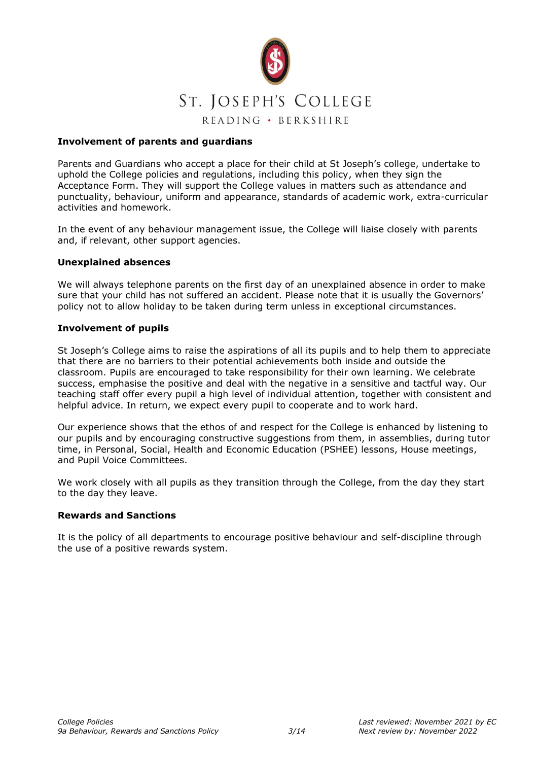

#### **Involvement of parents and guardians**

Parents and Guardians who accept a place for their child at St Joseph's college, undertake to uphold the College policies and regulations, including this policy, when they sign the Acceptance Form. They will support the College values in matters such as attendance and punctuality, behaviour, uniform and appearance, standards of academic work, extra-curricular activities and homework.

In the event of any behaviour management issue, the College will liaise closely with parents and, if relevant, other support agencies.

#### **Unexplained absences**

We will always telephone parents on the first day of an unexplained absence in order to make sure that your child has not suffered an accident. Please note that it is usually the Governors' policy not to allow holiday to be taken during term unless in exceptional circumstances.

#### **Involvement of pupils**

St Joseph's College aims to raise the aspirations of all its pupils and to help them to appreciate that there are no barriers to their potential achievements both inside and outside the classroom. Pupils are encouraged to take responsibility for their own learning. We celebrate success, emphasise the positive and deal with the negative in a sensitive and tactful way. Our teaching staff offer every pupil a high level of individual attention, together with consistent and helpful advice. In return, we expect every pupil to cooperate and to work hard.

Our experience shows that the ethos of and respect for the College is enhanced by listening to our pupils and by encouraging constructive suggestions from them, in assemblies, during tutor time, in Personal, Social, Health and Economic Education (PSHEE) lessons, House meetings, and Pupil Voice Committees.

We work closely with all pupils as they transition through the College, from the day they start to the day they leave.

#### **Rewards and Sanctions**

It is the policy of all departments to encourage positive behaviour and self-discipline through the use of a positive rewards system.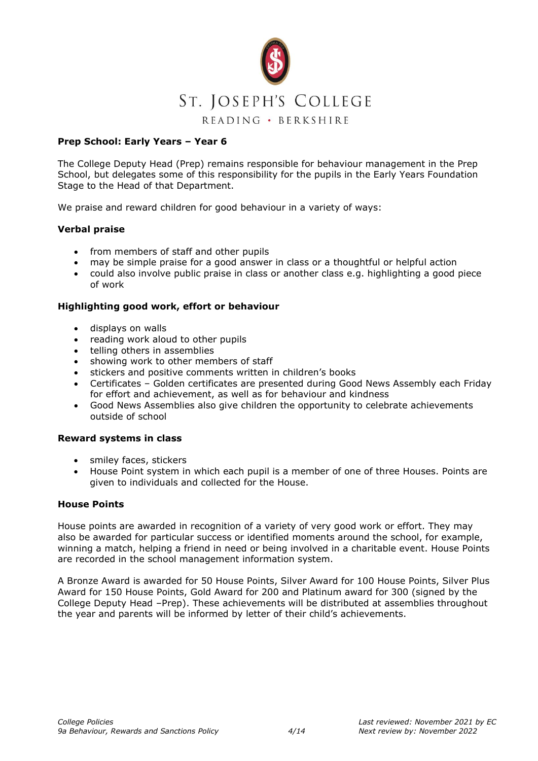

#### **Prep School: Early Years – Year 6**

The College Deputy Head (Prep) remains responsible for behaviour management in the Prep School, but delegates some of this responsibility for the pupils in the Early Years Foundation Stage to the Head of that Department.

We praise and reward children for good behaviour in a variety of ways:

#### **Verbal praise**

- from members of staff and other pupils
- may be simple praise for a good answer in class or a thoughtful or helpful action
- could also involve public praise in class or another class e.g. highlighting a good piece of work

#### **Highlighting good work, effort or behaviour**

- displays on walls
- reading work aloud to other pupils
- telling others in assemblies
- showing work to other members of staff
- stickers and positive comments written in children's books
- Certificates Golden certificates are presented during Good News Assembly each Friday for effort and achievement, as well as for behaviour and kindness
- Good News Assemblies also give children the opportunity to celebrate achievements outside of school

#### **Reward systems in class**

- smiley faces, stickers
- House Point system in which each pupil is a member of one of three Houses. Points are given to individuals and collected for the House.

#### **House Points**

House points are awarded in recognition of a variety of very good work or effort. They may also be awarded for particular success or identified moments around the school, for example, winning a match, helping a friend in need or being involved in a charitable event. House Points are recorded in the school management information system.

A Bronze Award is awarded for 50 House Points, Silver Award for 100 House Points, Silver Plus Award for 150 House Points, Gold Award for 200 and Platinum award for 300 (signed by the College Deputy Head –Prep). These achievements will be distributed at assemblies throughout the year and parents will be informed by letter of their child's achievements.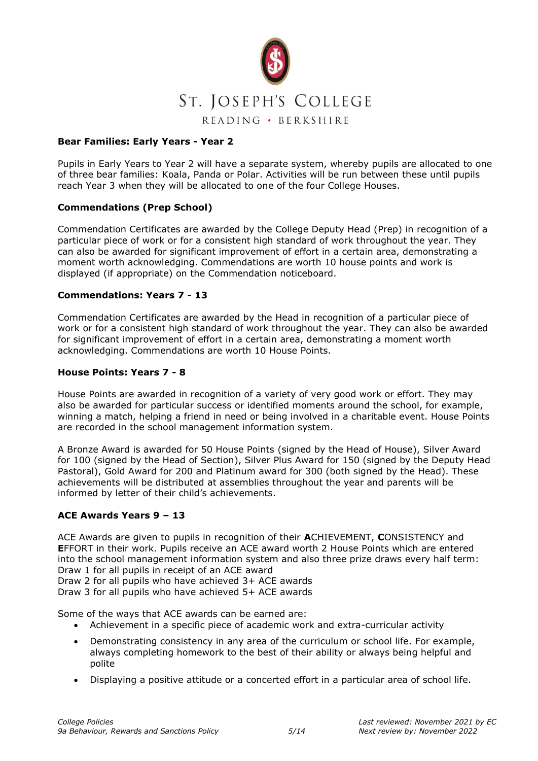

#### **Bear Families: Early Years - Year 2**

Pupils in Early Years to Year 2 will have a separate system, whereby pupils are allocated to one of three bear families: Koala, Panda or Polar. Activities will be run between these until pupils reach Year 3 when they will be allocated to one of the four College Houses.

#### **Commendations (Prep School)**

Commendation Certificates are awarded by the College Deputy Head (Prep) in recognition of a particular piece of work or for a consistent high standard of work throughout the year. They can also be awarded for significant improvement of effort in a certain area, demonstrating a moment worth acknowledging. Commendations are worth 10 house points and work is displayed (if appropriate) on the Commendation noticeboard.

#### **Commendations: Years 7 - 13**

Commendation Certificates are awarded by the Head in recognition of a particular piece of work or for a consistent high standard of work throughout the year. They can also be awarded for significant improvement of effort in a certain area, demonstrating a moment worth acknowledging. Commendations are worth 10 House Points.

#### **House Points: Years 7 - 8**

House Points are awarded in recognition of a variety of very good work or effort. They may also be awarded for particular success or identified moments around the school, for example, winning a match, helping a friend in need or being involved in a charitable event. House Points are recorded in the school management information system.

A Bronze Award is awarded for 50 House Points (signed by the Head of House), Silver Award for 100 (signed by the Head of Section), Silver Plus Award for 150 (signed by the Deputy Head Pastoral), Gold Award for 200 and Platinum award for 300 (both signed by the Head). These achievements will be distributed at assemblies throughout the year and parents will be informed by letter of their child's achievements.

#### **ACE Awards Years 9 – 13**

ACE Awards are given to pupils in recognition of their **A**CHIEVEMENT, **C**ONSISTENCY and **E**FFORT in their work. Pupils receive an ACE award worth 2 House Points which are entered into the school management information system and also three prize draws every half term: Draw 1 for all pupils in receipt of an ACE award

Draw 2 for all pupils who have achieved 3+ ACE awards

Draw 3 for all pupils who have achieved 5+ ACE awards

Some of the ways that ACE awards can be earned are:

- Achievement in a specific piece of academic work and extra-curricular activity
- Demonstrating consistency in any area of the curriculum or school life. For example, always completing homework to the best of their ability or always being helpful and polite
- Displaying a positive attitude or a concerted effort in a particular area of school life.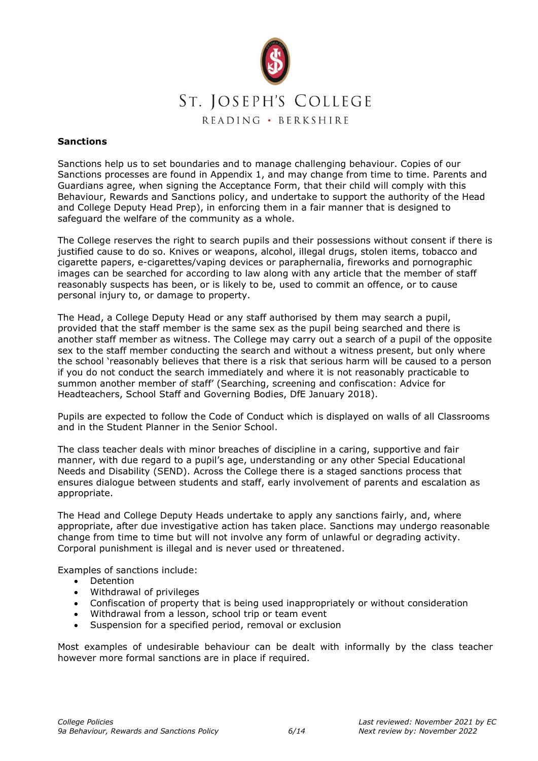

#### **Sanctions**

Sanctions help us to set boundaries and to manage challenging behaviour. Copies of our Sanctions processes are found in Appendix 1, and may change from time to time. Parents and Guardians agree, when signing the Acceptance Form, that their child will comply with this Behaviour, Rewards and Sanctions policy, and undertake to support the authority of the Head and College Deputy Head Prep), in enforcing them in a fair manner that is designed to safeguard the welfare of the community as a whole.

The College reserves the right to search pupils and their possessions without consent if there is justified cause to do so. Knives or weapons, alcohol, illegal drugs, stolen items, tobacco and cigarette papers, e-cigarettes/vaping devices or paraphernalia, fireworks and pornographic images can be searched for according to law along with any article that the member of staff reasonably suspects has been, or is likely to be, used to commit an offence, or to cause personal injury to, or damage to property.

The Head, a College Deputy Head or any staff authorised by them may search a pupil, provided that the staff member is the same sex as the pupil being searched and there is another staff member as witness. The College may carry out a search of a pupil of the opposite sex to the staff member conducting the search and without a witness present, but only where the school 'reasonably believes that there is a risk that serious harm will be caused to a person if you do not conduct the search immediately and where it is not reasonably practicable to summon another member of staff' (Searching, screening and confiscation: Advice for Headteachers, School Staff and Governing Bodies, DfE January 2018).

Pupils are expected to follow the Code of Conduct which is displayed on walls of all Classrooms and in the Student Planner in the Senior School.

The class teacher deals with minor breaches of discipline in a caring, supportive and fair manner, with due regard to a pupil's age, understanding or any other Special Educational Needs and Disability (SEND). Across the College there is a staged sanctions process that ensures dialogue between students and staff, early involvement of parents and escalation as appropriate.

The Head and College Deputy Heads undertake to apply any sanctions fairly, and, where appropriate, after due investigative action has taken place. Sanctions may undergo reasonable change from time to time but will not involve any form of unlawful or degrading activity. Corporal punishment is illegal and is never used or threatened.

Examples of sanctions include:

- Detention
- Withdrawal of privileges
- Confiscation of property that is being used inappropriately or without consideration
- Withdrawal from a lesson, school trip or team event
- Suspension for a specified period, removal or exclusion

Most examples of undesirable behaviour can be dealt with informally by the class teacher however more formal sanctions are in place if required.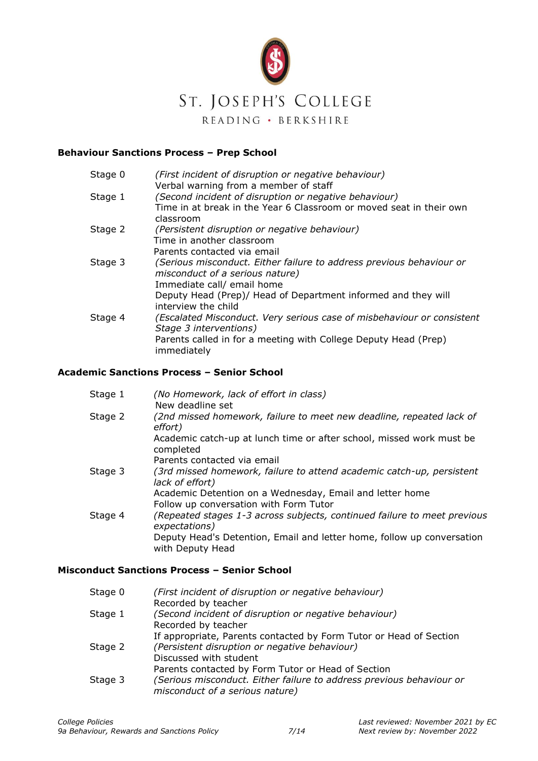

#### **Behaviour Sanctions Process – Prep School**

| Stage 0 | (First incident of disruption or negative behaviour)<br>Verbal warning from a member of staff |
|---------|-----------------------------------------------------------------------------------------------|
| Stage 1 | (Second incident of disruption or negative behaviour)                                         |
|         | Time in at break in the Year 6 Classroom or moved seat in their own                           |
|         | classroom                                                                                     |
| Stage 2 | (Persistent disruption or negative behaviour)                                                 |
|         | Time in another classroom                                                                     |
|         | Parents contacted via email                                                                   |
| Stage 3 | (Serious misconduct. Either failure to address previous behaviour or                          |
|         | misconduct of a serious nature)                                                               |
|         | Immediate call/ email home                                                                    |
|         | Deputy Head (Prep)/ Head of Department informed and they will                                 |
|         | interview the child                                                                           |
| Stage 4 | (Escalated Misconduct. Very serious case of misbehaviour or consistent                        |
|         | Stage 3 interventions)                                                                        |
|         | Parents called in for a meeting with College Deputy Head (Prep)                               |
|         | immediately                                                                                   |
|         |                                                                                               |

#### **Academic Sanctions Process – Senior School**

| Stage 1 | (No Homework, lack of effort in class)<br>New deadline set                                 |
|---------|--------------------------------------------------------------------------------------------|
| Stage 2 | (2nd missed homework, failure to meet new deadline, repeated lack of<br>effort)            |
|         | Academic catch-up at lunch time or after school, missed work must be<br>completed          |
|         | Parents contacted via email                                                                |
| Stage 3 | (3rd missed homework, failure to attend academic catch-up, persistent<br>lack of effort)   |
|         | Academic Detention on a Wednesday, Email and letter home                                   |
|         | Follow up conversation with Form Tutor                                                     |
| Stage 4 | (Repeated stages 1-3 across subjects, continued failure to meet previous<br>expectations)  |
|         | Deputy Head's Detention, Email and letter home, follow up conversation<br>with Deputy Head |

#### **Misconduct Sanctions Process – Senior School**

| Stage 0 | (First incident of disruption or negative behaviour)<br>Recorded by teacher                                                                                   |
|---------|---------------------------------------------------------------------------------------------------------------------------------------------------------------|
| Stage 1 | (Second incident of disruption or negative behaviour)<br>Recorded by teacher                                                                                  |
| Stage 2 | If appropriate, Parents contacted by Form Tutor or Head of Section<br>(Persistent disruption or negative behaviour)<br>Discussed with student                 |
| Stage 3 | Parents contacted by Form Tutor or Head of Section<br>(Serious misconduct. Either failure to address previous behaviour or<br>misconduct of a serious nature) |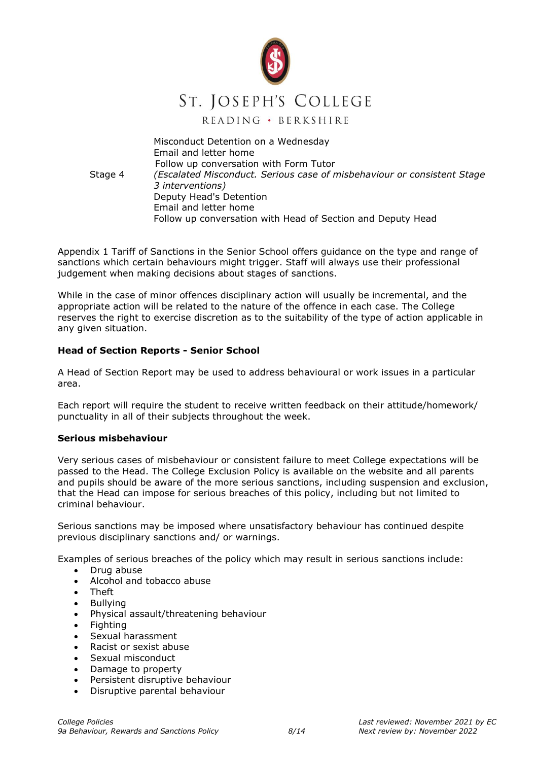

Misconduct Detention on a Wednesday Email and letter home Follow up conversation with Form Tutor Stage 4 *(Escalated Misconduct. Serious case of misbehaviour or consistent Stage 3 interventions)* Deputy Head's Detention Email and letter home Follow up conversation with Head of Section and Deputy Head

Appendix 1 Tariff of Sanctions in the Senior School offers guidance on the type and range of sanctions which certain behaviours might trigger. Staff will always use their professional judgement when making decisions about stages of sanctions.

While in the case of minor offences disciplinary action will usually be incremental, and the appropriate action will be related to the nature of the offence in each case. The College reserves the right to exercise discretion as to the suitability of the type of action applicable in any given situation.

#### **Head of Section Reports - Senior School**

A Head of Section Report may be used to address behavioural or work issues in a particular area.

Each report will require the student to receive written feedback on their attitude/homework/ punctuality in all of their subjects throughout the week.

#### **Serious misbehaviour**

Very serious cases of misbehaviour or consistent failure to meet College expectations will be passed to the Head. The College Exclusion Policy is available on the website and all parents and pupils should be aware of the more serious sanctions, including suspension and exclusion, that the Head can impose for serious breaches of this policy, including but not limited to criminal behaviour.

Serious sanctions may be imposed where unsatisfactory behaviour has continued despite previous disciplinary sanctions and/ or warnings.

Examples of serious breaches of the policy which may result in serious sanctions include:

- Drug abuse
- Alcohol and tobacco abuse
- Theft
- **Bullving**
- Physical assault/threatening behaviour
- Fighting
- Sexual harassment
- Racist or sexist abuse
- Sexual misconduct
- Damage to property
- Persistent disruptive behaviour
- Disruptive parental behaviour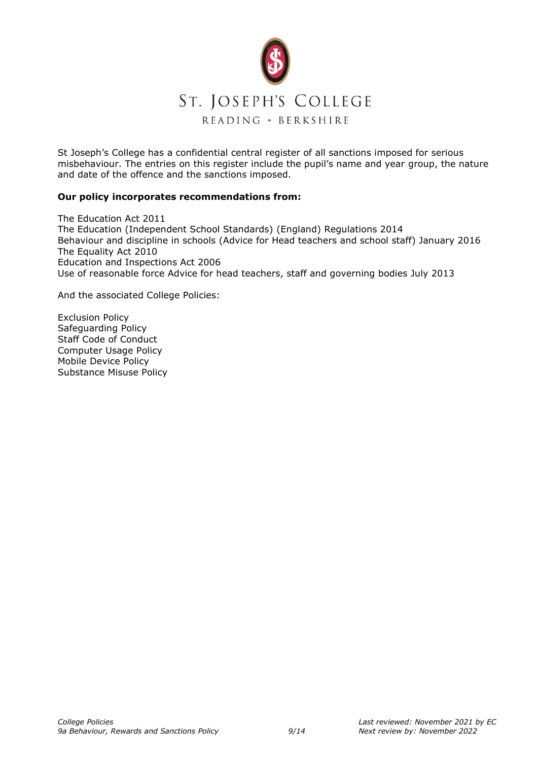

St Joseph's College has a confidential central register of all sanctions imposed for serious misbehaviour. The entries on this register include the pupil's name and year group, the nature and date of the offence and the sanctions imposed.

#### **Our policy incorporates recommendations from:**

The Education Act 2011 The Education (Independent School Standards) (England) Regulations 2014 Behaviour and discipline in schools (Advice for Head teachers and school staff) January 2016 The Equality Act 2010 Education and Inspections Act 2006 Use of reasonable force Advice for head teachers, staff and governing bodies July 2013

And the associated College Policies:

Exclusion Policy Safeguarding Policy Staff Code of Conduct Computer Usage Policy Mobile Device Policy Substance Misuse Policy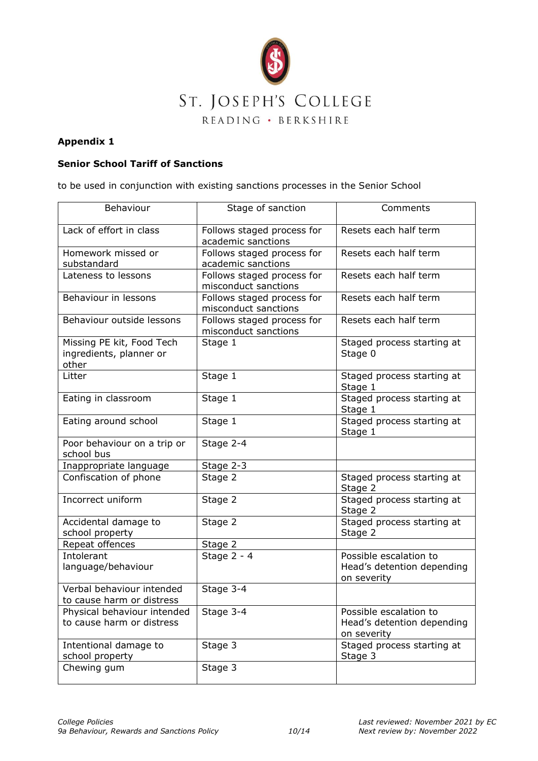

#### **Appendix 1**

## **Senior School Tariff of Sanctions**

to be used in conjunction with existing sanctions processes in the Senior School

| Behaviour                                                     | Stage of sanction                                  | Comments                                                            |
|---------------------------------------------------------------|----------------------------------------------------|---------------------------------------------------------------------|
| Lack of effort in class                                       | Follows staged process for<br>academic sanctions   | Resets each half term                                               |
| Homework missed or<br>substandard                             | Follows staged process for<br>academic sanctions   | Resets each half term                                               |
| Lateness to lessons                                           | Follows staged process for<br>misconduct sanctions | Resets each half term                                               |
| Behaviour in lessons                                          | Follows staged process for<br>misconduct sanctions | Resets each half term                                               |
| Behaviour outside lessons                                     | Follows staged process for<br>misconduct sanctions | Resets each half term                                               |
| Missing PE kit, Food Tech<br>ingredients, planner or<br>other | Stage 1                                            | Staged process starting at<br>Stage 0                               |
| Litter                                                        | Stage 1                                            | Staged process starting at<br>Stage 1                               |
| Eating in classroom                                           | Stage 1                                            | Staged process starting at<br>Stage 1                               |
| Eating around school                                          | Stage 1                                            | Staged process starting at<br>Stage 1                               |
| Poor behaviour on a trip or<br>school bus                     | Stage 2-4                                          |                                                                     |
| Inappropriate language                                        | Stage 2-3                                          |                                                                     |
| Confiscation of phone                                         | Stage 2                                            | Staged process starting at<br>Stage 2                               |
| Incorrect uniform                                             | Stage 2                                            | Staged process starting at<br>Stage 2                               |
| Accidental damage to<br>school property                       | Stage 2                                            | Staged process starting at<br>Stage 2                               |
| Repeat offences                                               | Stage 2                                            |                                                                     |
| Intolerant<br>language/behaviour                              | Stage 2 - 4                                        | Possible escalation to<br>Head's detention depending<br>on severity |
| Verbal behaviour intended<br>to cause harm or distress        | Stage 3-4                                          |                                                                     |
| Physical behaviour intended<br>to cause harm or distress      | Stage 3-4                                          | Possible escalation to<br>Head's detention depending<br>on severity |
| Intentional damage to<br>school property                      | Stage 3                                            | Staged process starting at<br>Stage 3                               |
| Chewing gum                                                   | Stage 3                                            |                                                                     |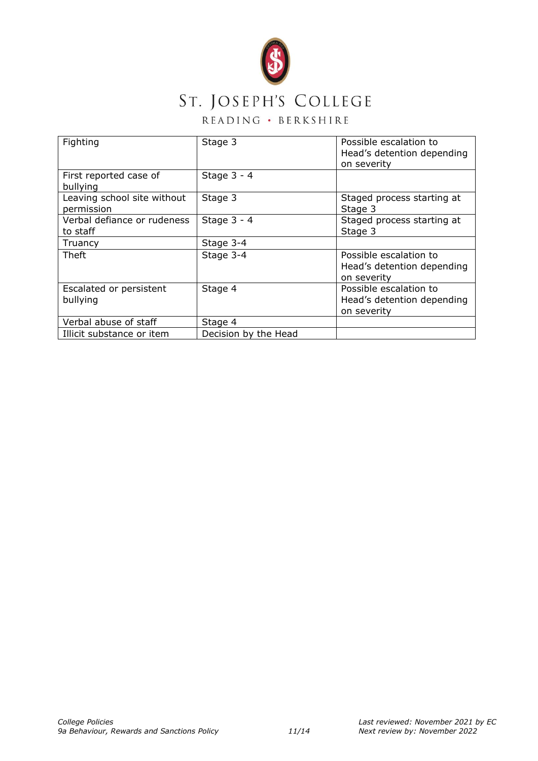

# ST. JOSEPH'S COLLEGE

# READING · BERKSHIRE

| Fighting                                  | Stage 3              | Possible escalation to<br>Head's detention depending<br>on severity |
|-------------------------------------------|----------------------|---------------------------------------------------------------------|
| First reported case of<br>bullying        | Stage $3 - 4$        |                                                                     |
| Leaving school site without<br>permission | Stage 3              | Staged process starting at<br>Stage 3                               |
| Verbal defiance or rudeness<br>to staff   | Stage $3 - 4$        | Staged process starting at<br>Stage 3                               |
| Truancy                                   | Stage 3-4            |                                                                     |
| Theft                                     | Stage 3-4            | Possible escalation to<br>Head's detention depending<br>on severity |
| Escalated or persistent<br>bullying       | Stage 4              | Possible escalation to<br>Head's detention depending<br>on severity |
| Verbal abuse of staff                     | Stage 4              |                                                                     |
| Illicit substance or item                 | Decision by the Head |                                                                     |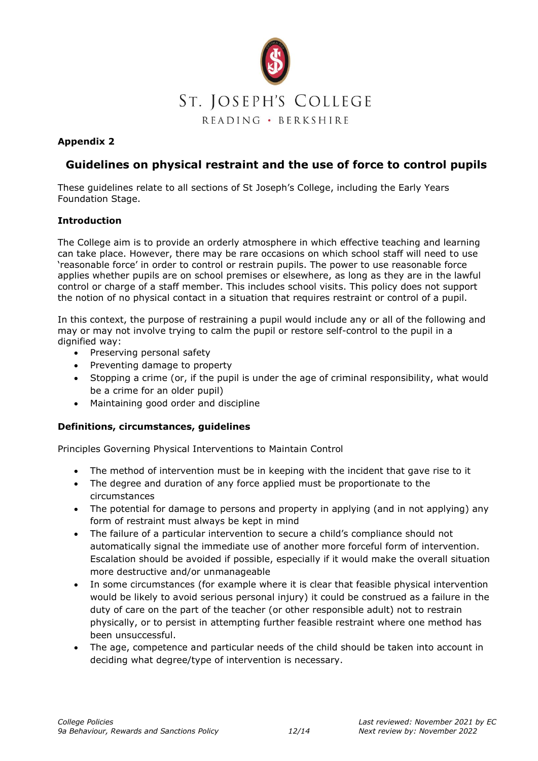

## **Appendix 2**

# **Guidelines on physical restraint and the use of force to control pupils**

These guidelines relate to all sections of St Joseph's College, including the Early Years Foundation Stage.

#### **Introduction**

The College aim is to provide an orderly atmosphere in which effective teaching and learning can take place. However, there may be rare occasions on which school staff will need to use 'reasonable force' in order to control or restrain pupils. The power to use reasonable force applies whether pupils are on school premises or elsewhere, as long as they are in the lawful control or charge of a staff member. This includes school visits. This policy does not support the notion of no physical contact in a situation that requires restraint or control of a pupil.

In this context, the purpose of restraining a pupil would include any or all of the following and may or may not involve trying to calm the pupil or restore self-control to the pupil in a dignified way:

- Preserving personal safety
- Preventing damage to property
- Stopping a crime (or, if the pupil is under the age of criminal responsibility, what would be a crime for an older pupil)
- Maintaining good order and discipline

#### **Definitions, circumstances, guidelines**

Principles Governing Physical Interventions to Maintain Control

- The method of intervention must be in keeping with the incident that gave rise to it
- The degree and duration of any force applied must be proportionate to the circumstances
- The potential for damage to persons and property in applying (and in not applying) any form of restraint must always be kept in mind
- The failure of a particular intervention to secure a child's compliance should not automatically signal the immediate use of another more forceful form of intervention. Escalation should be avoided if possible, especially if it would make the overall situation more destructive and/or unmanageable
- In some circumstances (for example where it is clear that feasible physical intervention would be likely to avoid serious personal injury) it could be construed as a failure in the duty of care on the part of the teacher (or other responsible adult) not to restrain physically, or to persist in attempting further feasible restraint where one method has been unsuccessful.
- The age, competence and particular needs of the child should be taken into account in deciding what degree/type of intervention is necessary.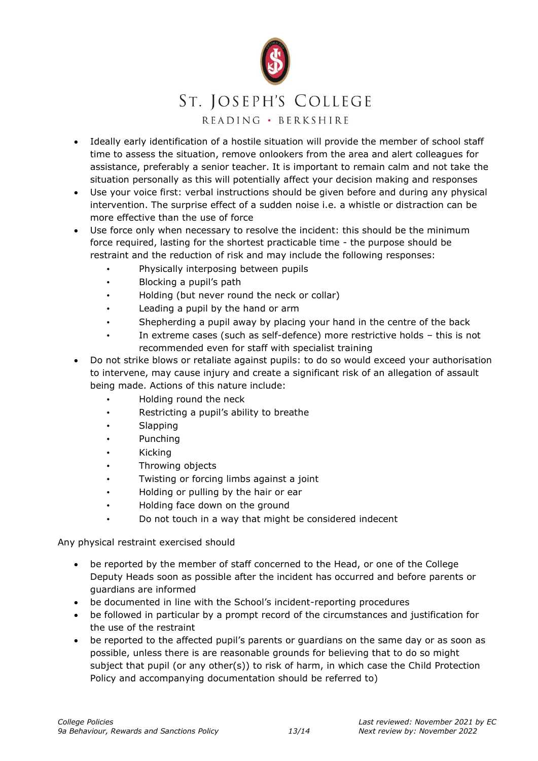

- Ideally early identification of a hostile situation will provide the member of school staff time to assess the situation, remove onlookers from the area and alert colleagues for assistance, preferably a senior teacher. It is important to remain calm and not take the situation personally as this will potentially affect your decision making and responses
- Use your voice first: verbal instructions should be given before and during any physical intervention. The surprise effect of a sudden noise i.e. a whistle or distraction can be more effective than the use of force
- Use force only when necessary to resolve the incident: this should be the minimum force required, lasting for the shortest practicable time - the purpose should be restraint and the reduction of risk and may include the following responses:
	- Physically interposing between pupils
	- Blocking a pupil's path
	- Holding (but never round the neck or collar)
	- Leading a pupil by the hand or arm
	- Shepherding a pupil away by placing your hand in the centre of the back
	- In extreme cases (such as self-defence) more restrictive holds this is not recommended even for staff with specialist training
- Do not strike blows or retaliate against pupils: to do so would exceed your authorisation to intervene, may cause injury and create a significant risk of an allegation of assault being made. Actions of this nature include:
	- Holding round the neck
	- Restricting a pupil's ability to breathe
	- Slapping
	- Punching
	- Kicking
	- Throwing objects
	- Twisting or forcing limbs against a joint
	- Holding or pulling by the hair or ear
	- Holding face down on the ground
	- Do not touch in a way that might be considered indecent

Any physical restraint exercised should

- be reported by the member of staff concerned to the Head, or one of the College Deputy Heads soon as possible after the incident has occurred and before parents or guardians are informed
- be documented in line with the School's incident-reporting procedures
- be followed in particular by a prompt record of the circumstances and justification for the use of the restraint
- be reported to the affected pupil's parents or guardians on the same day or as soon as possible, unless there is are reasonable grounds for believing that to do so might subject that pupil (or any other(s)) to risk of harm, in which case the Child Protection Policy and accompanying documentation should be referred to)